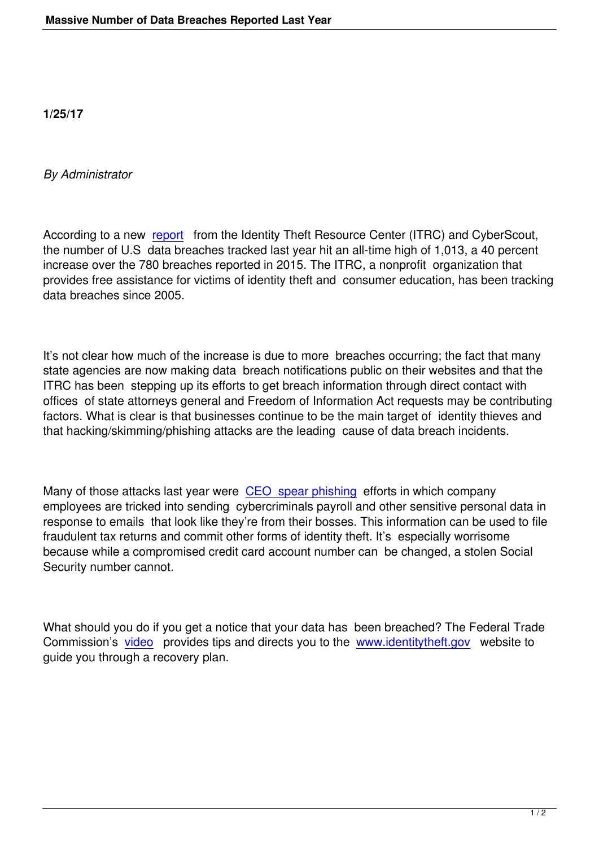## *By Administrator*

According to a new report from the Identity Theft Resource Center (ITRC) and CyberScout, the number of U.S data breaches tracked last year hit an all-time high of 1,013, a 40 percent increase over the 780 breaches reported in 2015. The ITRC, a nonprofit organization that provides free assist[ance fo](http://www.idtheftcenter.org/Press-Releases/2016databreachespressrelease.html)r victims of identity theft and consumer education, has been tracking data breaches since 2005.

It's not clear how much of the increase is due to more breaches occurring; the fact that many state agencies are now making data breach notifications public on their websites and that the ITRC has been stepping up its efforts to get breach information through direct contact with offices of state attorneys general and Freedom of Information Act requests may be contributing factors. What is clear is that businesses continue to be the main target of identity thieves and that hacking/skimming/phishing attacks are the leading cause of data breach incidents.

Many of those attacks last year were CEO spear phishing efforts in which company employees are tricked into sending cybercriminals payroll and other sensitive personal data in response to emails that look like they're from their bosses. This information can be used to file fraudulent tax returns and commit oth[er forms of identity the](https://www.irs.gov/uac/newsroom/irs-alerts-payroll-and-hr-professionals-to-phishing-scheme-involving-w2s)ft. It's especially worrisome because while a compromised credit card account number can be changed, a stolen Social Security number cannot.

What should you do if you get a notice that your data has been breached? The Federal Trade Commission's video provides tips and directs you to the www.identitytheft.gov website to guide you through a recovery plan.